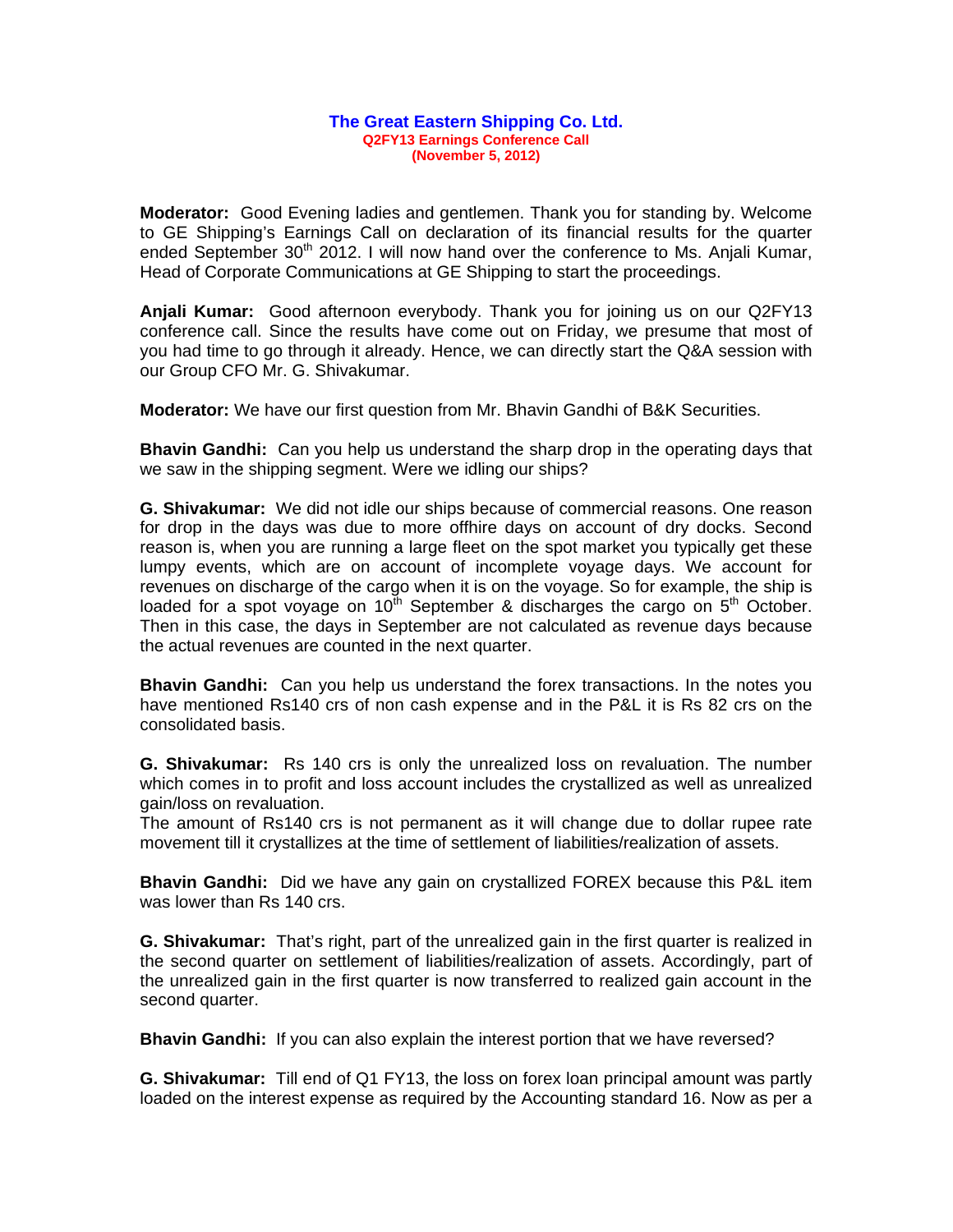## **The Great Eastern Shipping Co. Ltd. Q2FY13 Earnings Conference Call (November 5, 2012)**

**Moderator:** Good Evening ladies and gentlemen. Thank you for standing by. Welcome to GE Shipping's Earnings Call on declaration of its financial results for the quarter ended September  $30<sup>th</sup>$  2012. I will now hand over the conference to Ms. Anjali Kumar, Head of Corporate Communications at GE Shipping to start the proceedings.

**Anjali Kumar:** Good afternoon everybody. Thank you for joining us on our Q2FY13 conference call. Since the results have come out on Friday, we presume that most of you had time to go through it already. Hence, we can directly start the Q&A session with our Group CFO Mr. G. Shivakumar.

**Moderator:** We have our first question from Mr. Bhavin Gandhi of B&K Securities.

**Bhavin Gandhi:** Can you help us understand the sharp drop in the operating days that we saw in the shipping segment. Were we idling our ships?

**G. Shivakumar:** We did not idle our ships because of commercial reasons. One reason for drop in the days was due to more offhire days on account of dry docks. Second reason is, when you are running a large fleet on the spot market you typically get these lumpy events, which are on account of incomplete voyage days. We account for revenues on discharge of the cargo when it is on the voyage. So for example, the ship is loaded for a spot voyage on 10<sup>th</sup> September & discharges the cargo on  $5<sup>th</sup>$  October. Then in this case, the days in September are not calculated as revenue days because the actual revenues are counted in the next quarter.

**Bhavin Gandhi:** Can you help us understand the forex transactions. In the notes you have mentioned Rs140 crs of non cash expense and in the P&L it is Rs 82 crs on the consolidated basis.

**G. Shivakumar:** Rs 140 crs is only the unrealized loss on revaluation. The number which comes in to profit and loss account includes the crystallized as well as unrealized gain/loss on revaluation.

The amount of Rs140 crs is not permanent as it will change due to dollar rupee rate movement till it crystallizes at the time of settlement of liabilities/realization of assets.

**Bhavin Gandhi:** Did we have any gain on crystallized FOREX because this P&L item was lower than Rs 140 crs.

**G. Shivakumar:** That's right, part of the unrealized gain in the first quarter is realized in the second quarter on settlement of liabilities/realization of assets. Accordingly, part of the unrealized gain in the first quarter is now transferred to realized gain account in the second quarter.

**Bhavin Gandhi:** If you can also explain the interest portion that we have reversed?

**G. Shivakumar:** Till end of Q1 FY13, the loss on forex loan principal amount was partly loaded on the interest expense as required by the Accounting standard 16. Now as per a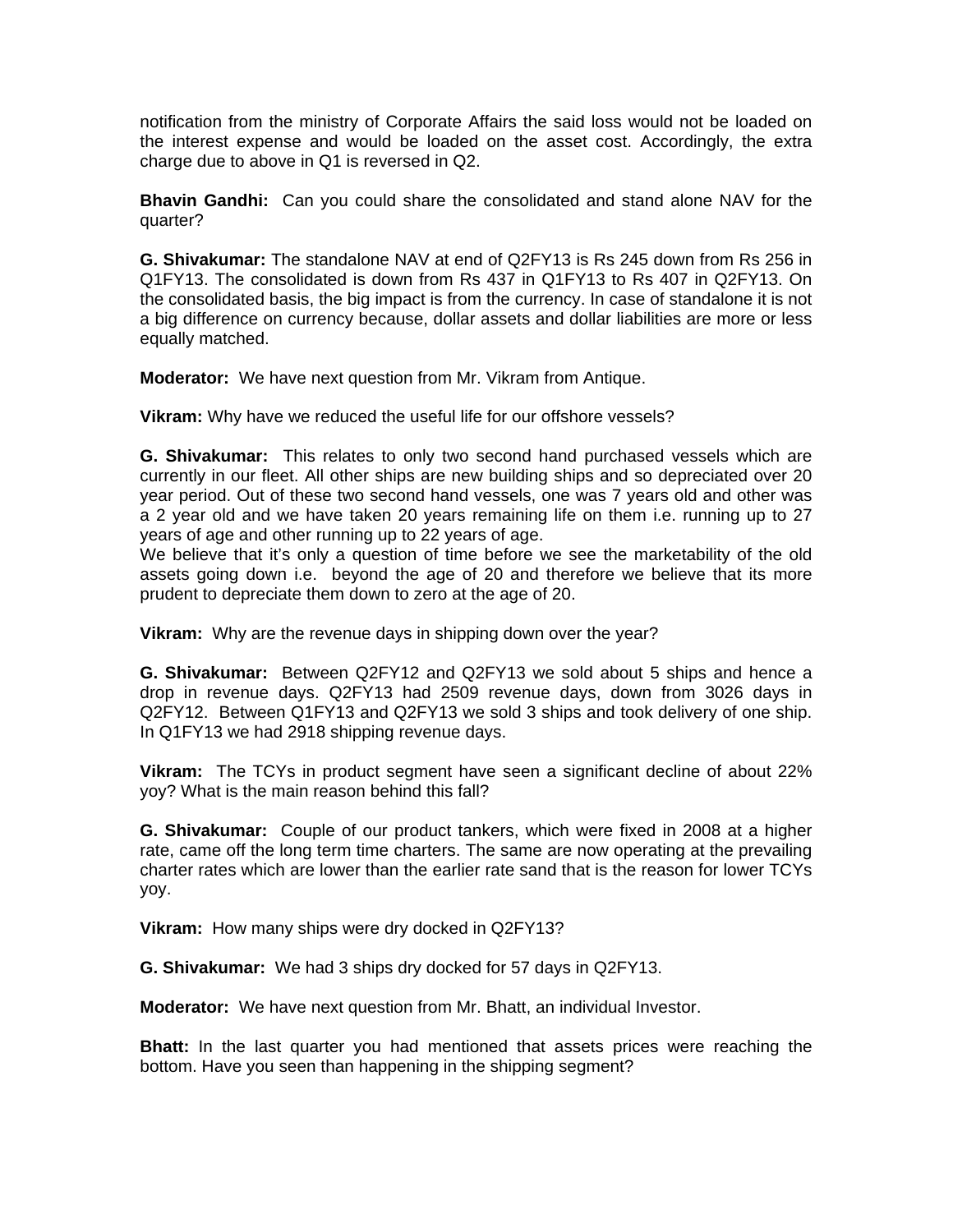notification from the ministry of Corporate Affairs the said loss would not be loaded on the interest expense and would be loaded on the asset cost. Accordingly, the extra charge due to above in Q1 is reversed in Q2.

**Bhavin Gandhi:** Can you could share the consolidated and stand alone NAV for the quarter?

**G. Shivakumar:** The standalone NAV at end of Q2FY13 is Rs 245 down from Rs 256 in Q1FY13. The consolidated is down from Rs 437 in Q1FY13 to Rs 407 in Q2FY13. On the consolidated basis, the big impact is from the currency. In case of standalone it is not a big difference on currency because, dollar assets and dollar liabilities are more or less equally matched.

**Moderator:** We have next question from Mr. Vikram from Antique.

**Vikram:** Why have we reduced the useful life for our offshore vessels?

**G. Shivakumar:** This relates to only two second hand purchased vessels which are currently in our fleet. All other ships are new building ships and so depreciated over 20 year period. Out of these two second hand vessels, one was 7 years old and other was a 2 year old and we have taken 20 years remaining life on them i.e. running up to 27 years of age and other running up to 22 years of age.

We believe that it's only a question of time before we see the marketability of the old assets going down i.e. beyond the age of 20 and therefore we believe that its more prudent to depreciate them down to zero at the age of 20.

**Vikram:** Why are the revenue days in shipping down over the year?

**G. Shivakumar:** Between Q2FY12 and Q2FY13 we sold about 5 ships and hence a drop in revenue days. Q2FY13 had 2509 revenue days, down from 3026 days in Q2FY12. Between Q1FY13 and Q2FY13 we sold 3 ships and took delivery of one ship. In Q1FY13 we had 2918 shipping revenue days.

**Vikram:** The TCYs in product segment have seen a significant decline of about 22% yoy? What is the main reason behind this fall?

**G. Shivakumar:** Couple of our product tankers, which were fixed in 2008 at a higher rate, came off the long term time charters. The same are now operating at the prevailing charter rates which are lower than the earlier rate sand that is the reason for lower TCYs yoy.

**Vikram:** How many ships were dry docked in Q2FY13?

**G. Shivakumar:** We had 3 ships dry docked for 57 days in Q2FY13.

**Moderator:** We have next question from Mr. Bhatt, an individual Investor.

**Bhatt:** In the last quarter you had mentioned that assets prices were reaching the bottom. Have you seen than happening in the shipping segment?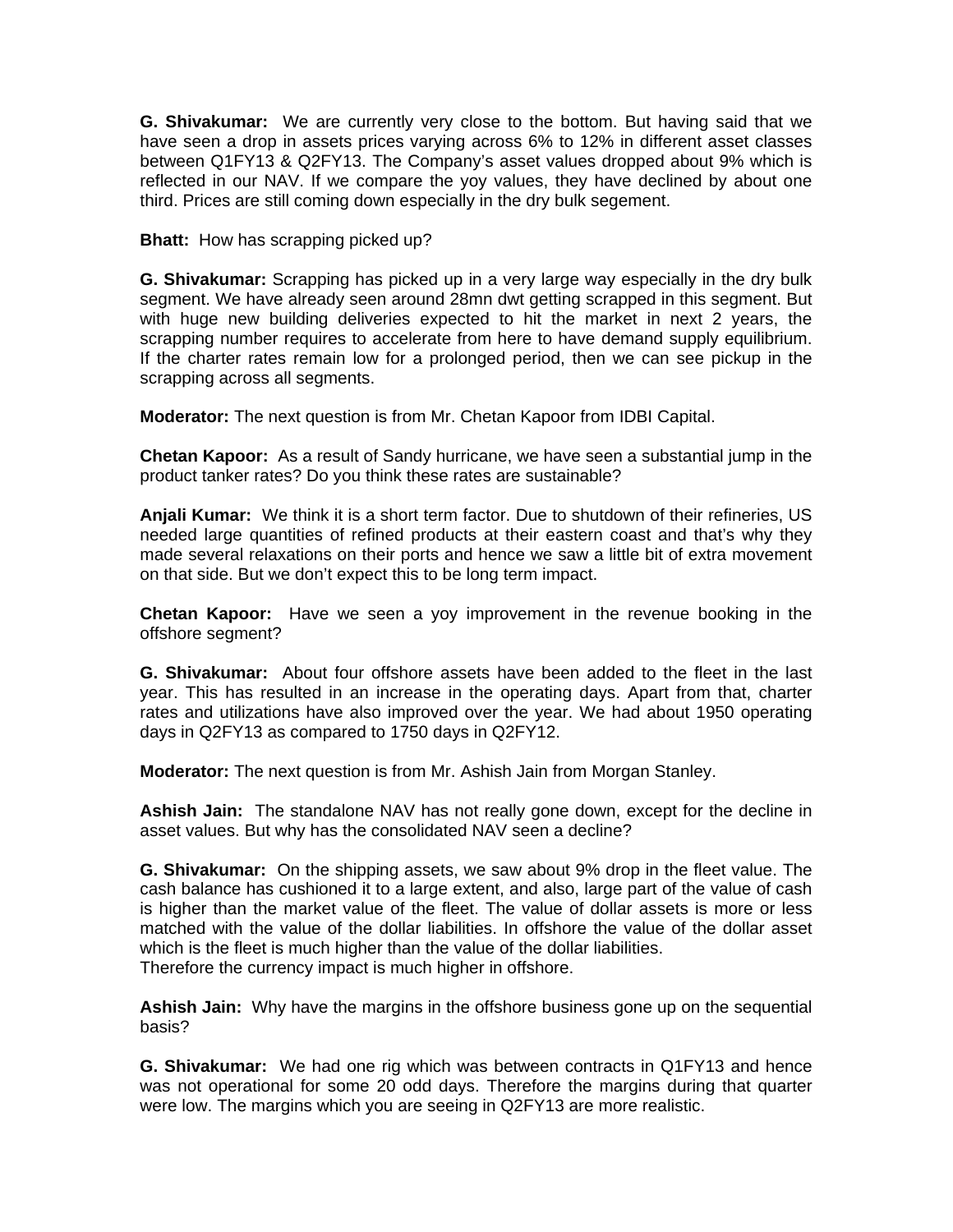**G. Shivakumar:** We are currently very close to the bottom. But having said that we have seen a drop in assets prices varying across 6% to 12% in different asset classes between Q1FY13 & Q2FY13. The Company's asset values dropped about 9% which is reflected in our NAV. If we compare the yoy values, they have declined by about one third. Prices are still coming down especially in the dry bulk segement.

**Bhatt:** How has scrapping picked up?

**G. Shivakumar:** Scrapping has picked up in a very large way especially in the dry bulk segment. We have already seen around 28mn dwt getting scrapped in this segment. But with huge new building deliveries expected to hit the market in next 2 years, the scrapping number requires to accelerate from here to have demand supply equilibrium. If the charter rates remain low for a prolonged period, then we can see pickup in the scrapping across all segments.

**Moderator:** The next question is from Mr. Chetan Kapoor from IDBI Capital.

**Chetan Kapoor:** As a result of Sandy hurricane, we have seen a substantial jump in the product tanker rates? Do you think these rates are sustainable?

**Anjali Kumar:** We think it is a short term factor. Due to shutdown of their refineries, US needed large quantities of refined products at their eastern coast and that's why they made several relaxations on their ports and hence we saw a little bit of extra movement on that side. But we don't expect this to be long term impact.

**Chetan Kapoor:** Have we seen a yoy improvement in the revenue booking in the offshore segment?

**G. Shivakumar:** About four offshore assets have been added to the fleet in the last year. This has resulted in an increase in the operating days. Apart from that, charter rates and utilizations have also improved over the year. We had about 1950 operating days in Q2FY13 as compared to 1750 days in Q2FY12.

**Moderator:** The next question is from Mr. Ashish Jain from Morgan Stanley.

**Ashish Jain:** The standalone NAV has not really gone down, except for the decline in asset values. But why has the consolidated NAV seen a decline?

**G. Shivakumar:** On the shipping assets, we saw about 9% drop in the fleet value. The cash balance has cushioned it to a large extent, and also, large part of the value of cash is higher than the market value of the fleet. The value of dollar assets is more or less matched with the value of the dollar liabilities. In offshore the value of the dollar asset which is the fleet is much higher than the value of the dollar liabilities. Therefore the currency impact is much higher in offshore.

**Ashish Jain:** Why have the margins in the offshore business gone up on the sequential basis?

**G. Shivakumar:** We had one rig which was between contracts in Q1FY13 and hence was not operational for some 20 odd days. Therefore the margins during that quarter were low. The margins which you are seeing in Q2FY13 are more realistic.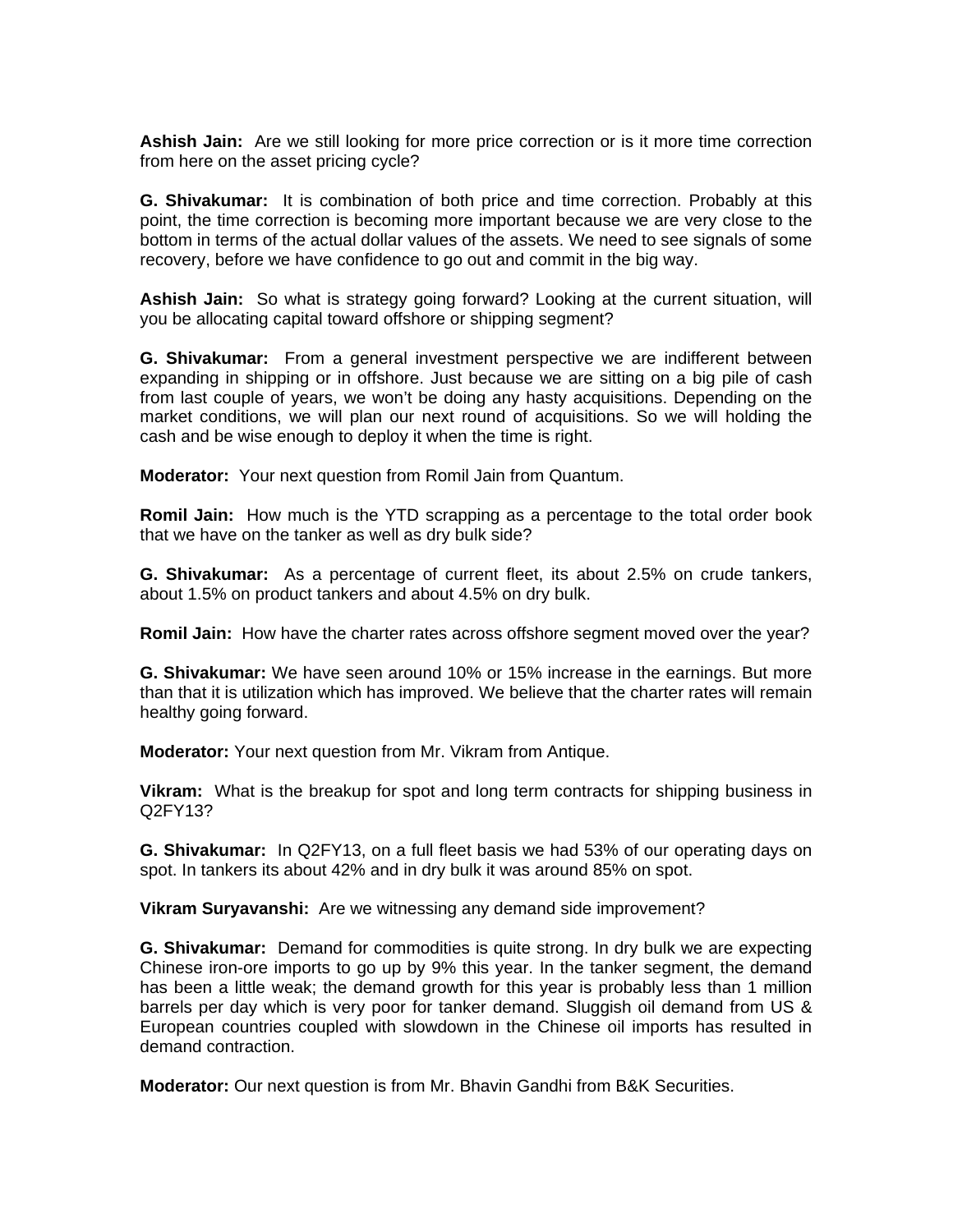**Ashish Jain:** Are we still looking for more price correction or is it more time correction from here on the asset pricing cycle?

**G. Shivakumar:** It is combination of both price and time correction. Probably at this point, the time correction is becoming more important because we are very close to the bottom in terms of the actual dollar values of the assets. We need to see signals of some recovery, before we have confidence to go out and commit in the big way.

**Ashish Jain:** So what is strategy going forward? Looking at the current situation, will you be allocating capital toward offshore or shipping segment?

**G. Shivakumar:** From a general investment perspective we are indifferent between expanding in shipping or in offshore. Just because we are sitting on a big pile of cash from last couple of years, we won't be doing any hasty acquisitions. Depending on the market conditions, we will plan our next round of acquisitions. So we will holding the cash and be wise enough to deploy it when the time is right.

**Moderator:** Your next question from Romil Jain from Quantum.

**Romil Jain:** How much is the YTD scrapping as a percentage to the total order book that we have on the tanker as well as dry bulk side?

**G. Shivakumar:** As a percentage of current fleet, its about 2.5% on crude tankers, about 1.5% on product tankers and about 4.5% on dry bulk.

**Romil Jain:** How have the charter rates across offshore segment moved over the year?

**G. Shivakumar:** We have seen around 10% or 15% increase in the earnings. But more than that it is utilization which has improved. We believe that the charter rates will remain healthy going forward.

**Moderator:** Your next question from Mr. Vikram from Antique.

**Vikram:** What is the breakup for spot and long term contracts for shipping business in Q2FY13?

**G. Shivakumar:** In Q2FY13, on a full fleet basis we had 53% of our operating days on spot. In tankers its about 42% and in dry bulk it was around 85% on spot.

**Vikram Suryavanshi:** Are we witnessing any demand side improvement?

**G. Shivakumar:** Demand for commodities is quite strong. In dry bulk we are expecting Chinese iron-ore imports to go up by 9% this year. In the tanker segment, the demand has been a little weak; the demand growth for this year is probably less than 1 million barrels per day which is very poor for tanker demand. Sluggish oil demand from US & European countries coupled with slowdown in the Chinese oil imports has resulted in demand contraction.

**Moderator:** Our next question is from Mr. Bhavin Gandhi from B&K Securities.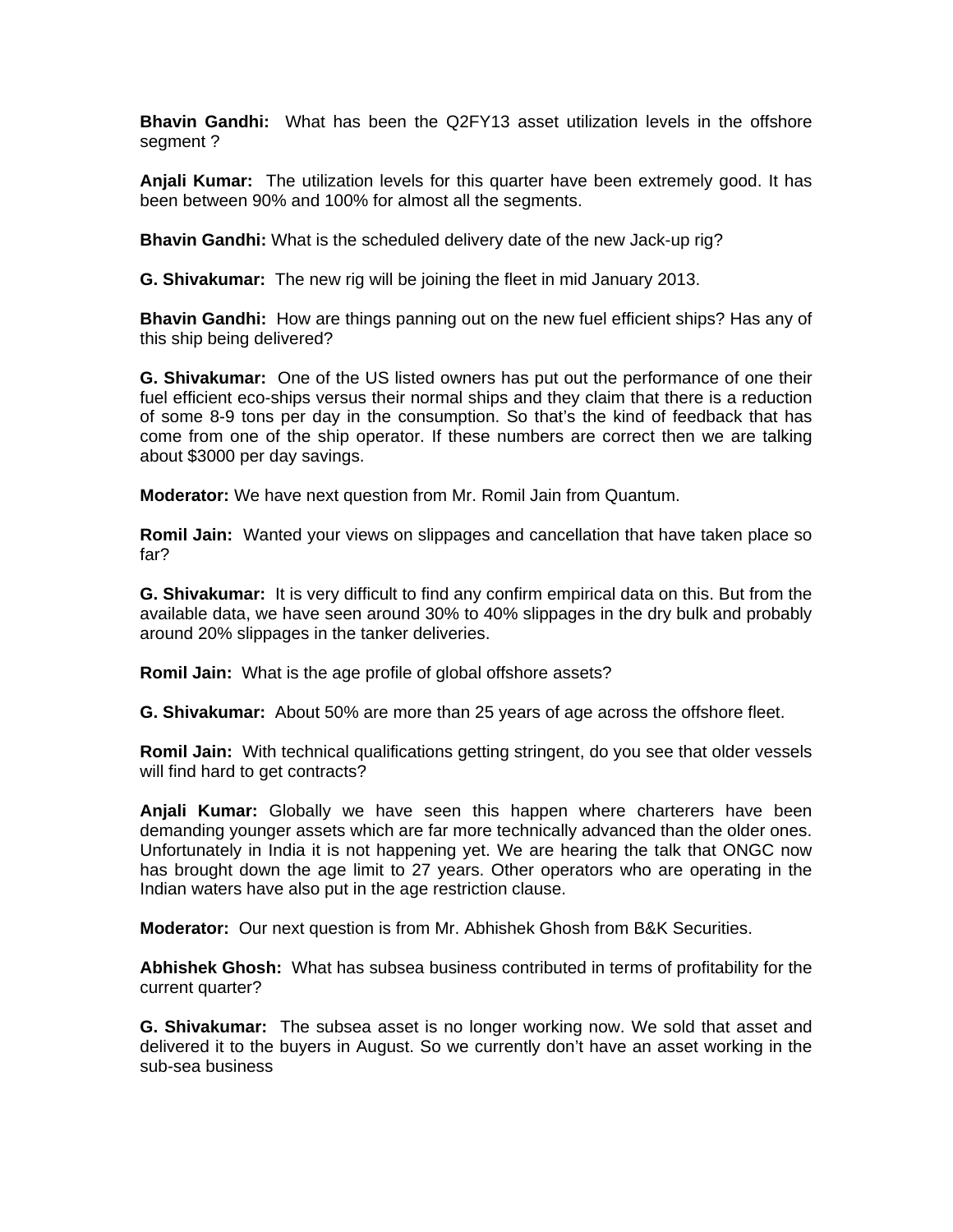**Bhavin Gandhi:** What has been the Q2FY13 asset utilization levels in the offshore segment ?

**Anjali Kumar:** The utilization levels for this quarter have been extremely good. It has been between 90% and 100% for almost all the segments.

**Bhavin Gandhi:** What is the scheduled delivery date of the new Jack-up rig?

**G. Shivakumar:** The new rig will be joining the fleet in mid January 2013.

**Bhavin Gandhi:** How are things panning out on the new fuel efficient ships? Has any of this ship being delivered?

**G. Shivakumar:** One of the US listed owners has put out the performance of one their fuel efficient eco-ships versus their normal ships and they claim that there is a reduction of some 8-9 tons per day in the consumption. So that's the kind of feedback that has come from one of the ship operator. If these numbers are correct then we are talking about \$3000 per day savings.

**Moderator:** We have next question from Mr. Romil Jain from Quantum.

**Romil Jain:** Wanted your views on slippages and cancellation that have taken place so far?

**G. Shivakumar:** It is very difficult to find any confirm empirical data on this. But from the available data, we have seen around 30% to 40% slippages in the dry bulk and probably around 20% slippages in the tanker deliveries.

**Romil Jain:** What is the age profile of global offshore assets?

**G. Shivakumar:** About 50% are more than 25 years of age across the offshore fleet.

**Romil Jain:** With technical qualifications getting stringent, do you see that older vessels will find hard to get contracts?

**Anjali Kumar:** Globally we have seen this happen where charterers have been demanding younger assets which are far more technically advanced than the older ones. Unfortunately in India it is not happening yet. We are hearing the talk that ONGC now has brought down the age limit to 27 years. Other operators who are operating in the Indian waters have also put in the age restriction clause.

**Moderator:** Our next question is from Mr. Abhishek Ghosh from B&K Securities.

**Abhishek Ghosh:** What has subsea business contributed in terms of profitability for the current quarter?

**G. Shivakumar:** The subsea asset is no longer working now. We sold that asset and delivered it to the buyers in August. So we currently don't have an asset working in the sub-sea business